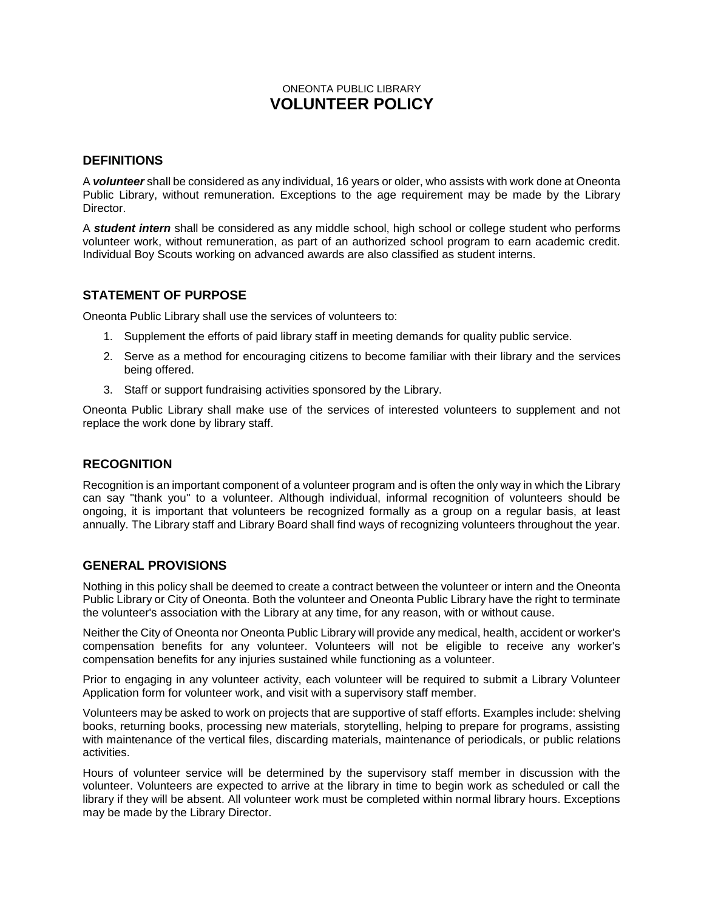## ONEONTA PUBLIC LIBRARY **VOLUNTEER POLICY**

#### **DEFINITIONS**

A *volunteer* shall be considered as any individual, 16 years or older, who assists with work done at Oneonta Public Library, without remuneration. Exceptions to the age requirement may be made by the Library Director.

A *student intern* shall be considered as any middle school, high school or college student who performs volunteer work, without remuneration, as part of an authorized school program to earn academic credit. Individual Boy Scouts working on advanced awards are also classified as student interns.

## **STATEMENT OF PURPOSE**

Oneonta Public Library shall use the services of volunteers to:

- 1. Supplement the efforts of paid library staff in meeting demands for quality public service.
- 2. Serve as a method for encouraging citizens to become familiar with their library and the services being offered.
- 3. Staff or support fundraising activities sponsored by the Library.

Oneonta Public Library shall make use of the services of interested volunteers to supplement and not replace the work done by library staff.

## **RECOGNITION**

Recognition is an important component of a volunteer program and is often the only way in which the Library can say "thank you" to a volunteer. Although individual, informal recognition of volunteers should be ongoing, it is important that volunteers be recognized formally as a group on a regular basis, at least annually. The Library staff and Library Board shall find ways of recognizing volunteers throughout the year.

## **GENERAL PROVISIONS**

Nothing in this policy shall be deemed to create a contract between the volunteer or intern and the Oneonta Public Library or City of Oneonta. Both the volunteer and Oneonta Public Library have the right to terminate the volunteer's association with the Library at any time, for any reason, with or without cause.

Neither the City of Oneonta nor Oneonta Public Library will provide any medical, health, accident or worker's compensation benefits for any volunteer. Volunteers will not be eligible to receive any worker's compensation benefits for any injuries sustained while functioning as a volunteer.

Prior to engaging in any volunteer activity, each volunteer will be required to submit a Library Volunteer Application form for volunteer work, and visit with a supervisory staff member.

Volunteers may be asked to work on projects that are supportive of staff efforts. Examples include: shelving books, returning books, processing new materials, storytelling, helping to prepare for programs, assisting with maintenance of the vertical files, discarding materials, maintenance of periodicals, or public relations activities.

Hours of volunteer service will be determined by the supervisory staff member in discussion with the volunteer. Volunteers are expected to arrive at the library in time to begin work as scheduled or call the library if they will be absent. All volunteer work must be completed within normal library hours. Exceptions may be made by the Library Director.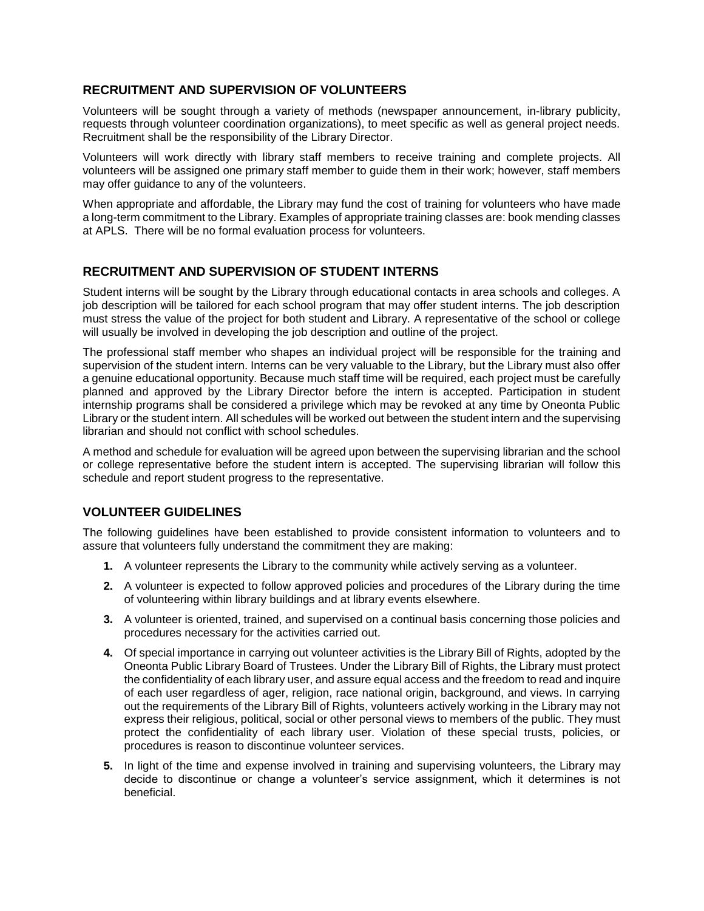## **RECRUITMENT AND SUPERVISION OF VOLUNTEERS**

Volunteers will be sought through a variety of methods (newspaper announcement, in-library publicity, requests through volunteer coordination organizations), to meet specific as well as general project needs. Recruitment shall be the responsibility of the Library Director.

Volunteers will work directly with library staff members to receive training and complete projects. All volunteers will be assigned one primary staff member to guide them in their work; however, staff members may offer guidance to any of the volunteers.

When appropriate and affordable, the Library may fund the cost of training for volunteers who have made a long-term commitment to the Library. Examples of appropriate training classes are: book mending classes at APLS. There will be no formal evaluation process for volunteers.

## **RECRUITMENT AND SUPERVISION OF STUDENT INTERNS**

Student interns will be sought by the Library through educational contacts in area schools and colleges. A job description will be tailored for each school program that may offer student interns. The job description must stress the value of the project for both student and Library. A representative of the school or college will usually be involved in developing the job description and outline of the project.

The professional staff member who shapes an individual project will be responsible for the training and supervision of the student intern. Interns can be very valuable to the Library, but the Library must also offer a genuine educational opportunity. Because much staff time will be required, each project must be carefully planned and approved by the Library Director before the intern is accepted. Participation in student internship programs shall be considered a privilege which may be revoked at any time by Oneonta Public Library or the student intern. All schedules will be worked out between the student intern and the supervising librarian and should not conflict with school schedules.

A method and schedule for evaluation will be agreed upon between the supervising librarian and the school or college representative before the student intern is accepted. The supervising librarian will follow this schedule and report student progress to the representative.

# **VOLUNTEER GUIDELINES**

The following guidelines have been established to provide consistent information to volunteers and to assure that volunteers fully understand the commitment they are making:

- **1.** A volunteer represents the Library to the community while actively serving as a volunteer.
- **2.** A volunteer is expected to follow approved policies and procedures of the Library during the time of volunteering within library buildings and at library events elsewhere.
- **3.** A volunteer is oriented, trained, and supervised on a continual basis concerning those policies and procedures necessary for the activities carried out.
- **4.** Of special importance in carrying out volunteer activities is the Library Bill of Rights, adopted by the Oneonta Public Library Board of Trustees. Under the Library Bill of Rights, the Library must protect the confidentiality of each library user, and assure equal access and the freedom to read and inquire of each user regardless of ager, religion, race national origin, background, and views. In carrying out the requirements of the Library Bill of Rights, volunteers actively working in the Library may not express their religious, political, social or other personal views to members of the public. They must protect the confidentiality of each library user. Violation of these special trusts, policies, or procedures is reason to discontinue volunteer services.
- **5.** In light of the time and expense involved in training and supervising volunteers, the Library may decide to discontinue or change a volunteer's service assignment, which it determines is not beneficial.